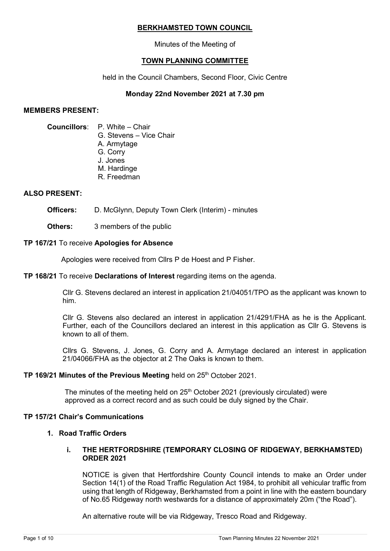#### **BERKHAMSTED TOWN COUNCIL**

Minutes of the Meeting of

# **TOWN PLANNING COMMITTEE**

held in the Council Chambers, Second Floor, Civic Centre

# **Monday 22nd November 2021 at 7.30 pm**

#### **MEMBERS PRESENT:**

#### **Councillors**: P. White – Chair

G. Stevens – Vice Chair

- A. Armytage
- G. Corry
- J. Jones
- M. Hardinge
- R. Freedman

## **ALSO PRESENT:**

**Officers:** D. McGlynn, Deputy Town Clerk (Interim) - minutes

**Others:** 3 members of the public

## **TP 167/21** To receive **Apologies for Absence**

Apologies were received from Cllrs P de Hoest and P Fisher.

## **TP 168/21** To receive **Declarations of Interest** regarding items on the agenda.

Cllr G. Stevens declared an interest in application 21/04051/TPO as the applicant was known to him.

Cllr G. Stevens also declared an interest in application 21/4291/FHA as he is the Applicant. Further, each of the Councillors declared an interest in this application as Cllr G. Stevens is known to all of them.

Cllrs G. Stevens, J. Jones, G. Corry and A. Armytage declared an interest in application 21/04066/FHA as the objector at 2 The Oaks is known to them.

## TP 169/21 Minutes of the Previous Meeting held on 25<sup>th</sup> October 2021.

The minutes of the meeting held on  $25<sup>th</sup>$  October 2021 (previously circulated) were approved as a correct record and as such could be duly signed by the Chair.

## **TP 157/21 Chair's Communications**

## **1. Road Traffic Orders**

## **i. THE HERTFORDSHIRE (TEMPORARY CLOSING OF RIDGEWAY, BERKHAMSTED) ORDER 2021**

NOTICE is given that Hertfordshire County Council intends to make an Order under Section 14(1) of the Road Traffic Regulation Act 1984, to prohibit all vehicular traffic from using that length of Ridgeway, Berkhamsted from a point in line with the eastern boundary of No.65 Ridgeway north westwards for a distance of approximately 20m ("the Road").

An alternative route will be via Ridgeway, Tresco Road and Ridgeway.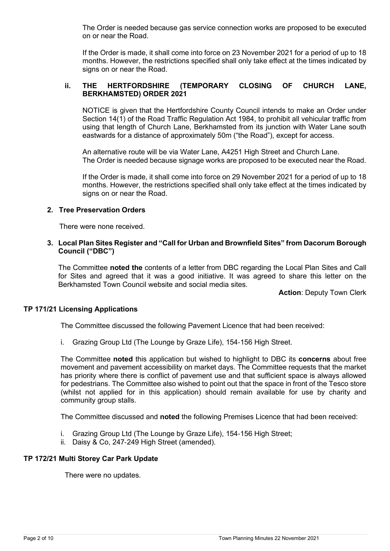The Order is needed because gas service connection works are proposed to be executed on or near the Road.

If the Order is made, it shall come into force on 23 November 2021 for a period of up to 18 months. However, the restrictions specified shall only take effect at the times indicated by signs on or near the Road.

## **ii. THE HERTFORDSHIRE (TEMPORARY CLOSING OF CHURCH LANE, BERKHAMSTED) ORDER 2021**

NOTICE is given that the Hertfordshire County Council intends to make an Order under Section 14(1) of the Road Traffic Regulation Act 1984, to prohibit all vehicular traffic from using that length of Church Lane, Berkhamsted from its junction with Water Lane south eastwards for a distance of approximately 50m ("the Road"), except for access.

An alternative route will be via Water Lane, A4251 High Street and Church Lane. The Order is needed because signage works are proposed to be executed near the Road.

If the Order is made, it shall come into force on 29 November 2021 for a period of up to 18 months. However, the restrictions specified shall only take effect at the times indicated by signs on or near the Road.

#### **2. Tree Preservation Orders**

There were none received.

## **3. Local Plan Sites Register and "Call for Urban and Brownfield Sites" from Dacorum Borough Council ("DBC")**

The Committee **noted the** contents of a letter from DBC regarding the Local Plan Sites and Call for Sites and agreed that it was a good initiative. It was agreed to share this letter on the Berkhamsted Town Council website and social media sites.

**Action**: Deputy Town Clerk

## **TP 171/21 Licensing Applications**

The Committee discussed the following Pavement Licence that had been received:

i. Grazing Group Ltd (The Lounge by Graze Life), 154‐156 High Street.

The Committee **noted** this application but wished to highlight to DBC its **concerns** about free movement and pavement accessibility on market days. The Committee requests that the market has priority where there is conflict of pavement use and that sufficient space is always allowed for pedestrians. The Committee also wished to point out that the space in front of the Tesco store (whilst not applied for in this application) should remain available for use by charity and community group stalls.

The Committee discussed and **noted** the following Premises Licence that had been received:

- i. Grazing Group Ltd (The Lounge by Graze Life), 154‐156 High Street;
- ii. Daisy & Co, 247‐249 High Street (amended).

## **TP 172/21 Multi Storey Car Park Update**

There were no updates.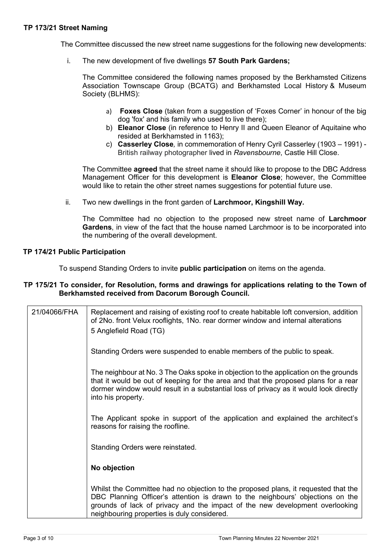The Committee discussed the new street name suggestions for the following new developments:

i. The new development of five dwellings **57 South Park Gardens;**

The Committee considered the following names proposed by the Berkhamsted Citizens Association Townscape Group (BCATG) and Berkhamsted Local History & Museum Society (BLHMS):

- a) **Foxes Close** (taken from a suggestion of 'Foxes Corner' in honour of the big dog 'fox' and his family who used to live there);
- b) **Eleanor Close** (in reference to Henry II and Queen Eleanor of Aquitaine who resided at Berkhamsted in 1163);
- c) **Casserley Close***,* in commemoration of Henry Cyril Casserley (1903 1991) British railway photographer lived in *Ravensbourne*, Castle Hill Close.

The Committee **agreed** that the street name it should like to propose to the DBC Address Management Officer for this development is **Eleanor Close**; however, the Committee would like to retain the other street names suggestions for potential future use.

ii. Two new dwellings in the front garden of **Larchmoor, Kingshill Way.**

The Committee had no objection to the proposed new street name of **Larchmoor Gardens**, in view of the fact that the house named Larchmoor is to be incorporated into the numbering of the overall development.

#### **TP 174/21 Public Participation**

To suspend Standing Orders to invite **public participation** on items on the agenda.

#### **TP 175/21 To consider, for Resolution, forms and drawings for applications relating to the Town of Berkhamsted received from Dacorum Borough Council.**

| 21/04066/FHA | Replacement and raising of existing roof to create habitable loft conversion, addition<br>of 2No. front Velux rooflights, 1No. rear dormer window and internal alterations<br>5 Anglefield Road (TG)                                                                                                |
|--------------|-----------------------------------------------------------------------------------------------------------------------------------------------------------------------------------------------------------------------------------------------------------------------------------------------------|
|              | Standing Orders were suspended to enable members of the public to speak.                                                                                                                                                                                                                            |
|              | The neighbour at No. 3 The Oaks spoke in objection to the application on the grounds<br>that it would be out of keeping for the area and that the proposed plans for a rear<br>dormer window would result in a substantial loss of privacy as it would look directly<br>into his property.          |
|              | The Applicant spoke in support of the application and explained the architect's<br>reasons for raising the roofline.                                                                                                                                                                                |
|              | Standing Orders were reinstated.                                                                                                                                                                                                                                                                    |
|              | No objection                                                                                                                                                                                                                                                                                        |
|              | Whilst the Committee had no objection to the proposed plans, it requested that the<br>DBC Planning Officer's attention is drawn to the neighbours' objections on the<br>grounds of lack of privacy and the impact of the new development overlooking<br>neighbouring properties is duly considered. |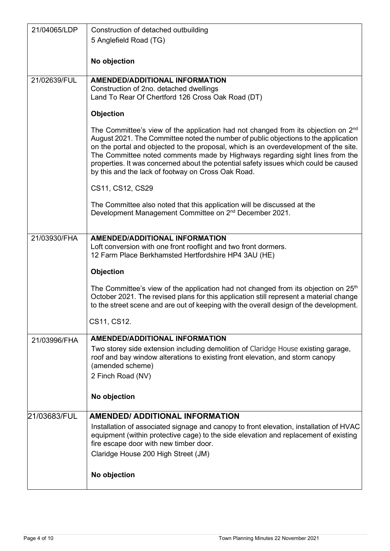| 21/04065/LDP | Construction of detached outbuilding                                                                                                                                                                                                                                                                                                                                                                                                                                                             |
|--------------|--------------------------------------------------------------------------------------------------------------------------------------------------------------------------------------------------------------------------------------------------------------------------------------------------------------------------------------------------------------------------------------------------------------------------------------------------------------------------------------------------|
|              | 5 Anglefield Road (TG)                                                                                                                                                                                                                                                                                                                                                                                                                                                                           |
|              |                                                                                                                                                                                                                                                                                                                                                                                                                                                                                                  |
|              | No objection                                                                                                                                                                                                                                                                                                                                                                                                                                                                                     |
| 21/02639/FUL | <b>AMENDED/ADDITIONAL INFORMATION</b>                                                                                                                                                                                                                                                                                                                                                                                                                                                            |
|              | Construction of 2no. detached dwellings                                                                                                                                                                                                                                                                                                                                                                                                                                                          |
|              | Land To Rear Of Chertford 126 Cross Oak Road (DT)                                                                                                                                                                                                                                                                                                                                                                                                                                                |
|              | Objection                                                                                                                                                                                                                                                                                                                                                                                                                                                                                        |
|              | The Committee's view of the application had not changed from its objection on $2nd$<br>August 2021. The Committee noted the number of public objections to the application<br>on the portal and objected to the proposal, which is an overdevelopment of the site.<br>The Committee noted comments made by Highways regarding sight lines from the<br>properties. It was concerned about the potential safety issues which could be caused<br>by this and the lack of footway on Cross Oak Road. |
|              | CS11, CS12, CS29                                                                                                                                                                                                                                                                                                                                                                                                                                                                                 |
|              | The Committee also noted that this application will be discussed at the<br>Development Management Committee on 2 <sup>nd</sup> December 2021.                                                                                                                                                                                                                                                                                                                                                    |
|              | <b>AMENDED/ADDITIONAL INFORMATION</b>                                                                                                                                                                                                                                                                                                                                                                                                                                                            |
| 21/03930/FHA | Loft conversion with one front rooflight and two front dormers.<br>12 Farm Place Berkhamsted Hertfordshire HP4 3AU (HE)                                                                                                                                                                                                                                                                                                                                                                          |
|              | <b>Objection</b>                                                                                                                                                                                                                                                                                                                                                                                                                                                                                 |
|              | The Committee's view of the application had not changed from its objection on $25th$<br>October 2021. The revised plans for this application still represent a material change<br>to the street scene and are out of keeping with the overall design of the development.                                                                                                                                                                                                                         |
|              | CS11, CS12.                                                                                                                                                                                                                                                                                                                                                                                                                                                                                      |
| 21/03996/FHA | <b>AMENDED/ADDITIONAL INFORMATION</b>                                                                                                                                                                                                                                                                                                                                                                                                                                                            |
|              | Two storey side extension including demolition of Claridge House existing garage,<br>roof and bay window alterations to existing front elevation, and storm canopy<br>(amended scheme)                                                                                                                                                                                                                                                                                                           |
|              | 2 Finch Road (NV)                                                                                                                                                                                                                                                                                                                                                                                                                                                                                |
|              | No objection                                                                                                                                                                                                                                                                                                                                                                                                                                                                                     |
| 21/03683/FUL | <b>AMENDED/ ADDITIONAL INFORMATION</b>                                                                                                                                                                                                                                                                                                                                                                                                                                                           |
|              | Installation of associated signage and canopy to front elevation, installation of HVAC<br>equipment (within protective cage) to the side elevation and replacement of existing<br>fire escape door with new timber door.                                                                                                                                                                                                                                                                         |
|              | Claridge House 200 High Street (JM)                                                                                                                                                                                                                                                                                                                                                                                                                                                              |
|              | No objection                                                                                                                                                                                                                                                                                                                                                                                                                                                                                     |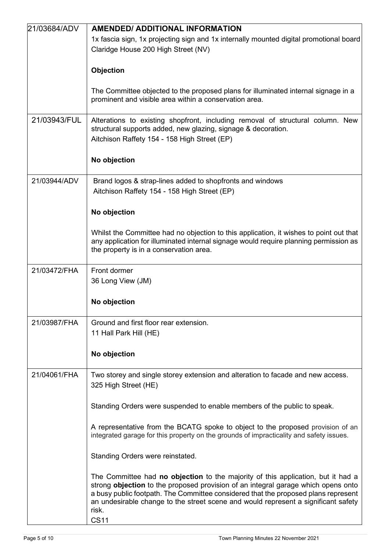| 21/03684/ADV | <b>AMENDED/ ADDITIONAL INFORMATION</b>                                                                                                                                                                                                                                                                                                                     |
|--------------|------------------------------------------------------------------------------------------------------------------------------------------------------------------------------------------------------------------------------------------------------------------------------------------------------------------------------------------------------------|
|              | 1x fascia sign, 1x projecting sign and 1x internally mounted digital promotional board<br>Claridge House 200 High Street (NV)                                                                                                                                                                                                                              |
|              |                                                                                                                                                                                                                                                                                                                                                            |
|              | Objection                                                                                                                                                                                                                                                                                                                                                  |
|              | The Committee objected to the proposed plans for illuminated internal signage in a<br>prominent and visible area within a conservation area.                                                                                                                                                                                                               |
| 21/03943/FUL | Alterations to existing shopfront, including removal of structural column. New<br>structural supports added, new glazing, signage & decoration.<br>Aitchison Raffety 154 - 158 High Street (EP)                                                                                                                                                            |
|              | No objection                                                                                                                                                                                                                                                                                                                                               |
| 21/03944/ADV | Brand logos & strap-lines added to shopfronts and windows<br>Aitchison Raffety 154 - 158 High Street (EP)                                                                                                                                                                                                                                                  |
|              | No objection                                                                                                                                                                                                                                                                                                                                               |
|              | Whilst the Committee had no objection to this application, it wishes to point out that<br>any application for illuminated internal signage would require planning permission as<br>the property is in a conservation area.                                                                                                                                 |
| 21/03472/FHA | Front dormer                                                                                                                                                                                                                                                                                                                                               |
|              | 36 Long View (JM)                                                                                                                                                                                                                                                                                                                                          |
|              | No objection                                                                                                                                                                                                                                                                                                                                               |
| 21/03987/FHA | Ground and first floor rear extension.<br>11 Hall Park Hill (HE)                                                                                                                                                                                                                                                                                           |
|              | No objection                                                                                                                                                                                                                                                                                                                                               |
| 21/04061/FHA | Two storey and single storey extension and alteration to facade and new access.<br>325 High Street (HE)                                                                                                                                                                                                                                                    |
|              | Standing Orders were suspended to enable members of the public to speak.                                                                                                                                                                                                                                                                                   |
|              | A representative from the BCATG spoke to object to the proposed provision of an<br>integrated garage for this property on the grounds of impracticality and safety issues.                                                                                                                                                                                 |
|              | Standing Orders were reinstated.                                                                                                                                                                                                                                                                                                                           |
|              | The Committee had no objection to the majority of this application, but it had a<br>strong objection to the proposed provision of an integral garage which opens onto<br>a busy public footpath. The Committee considered that the proposed plans represent<br>an undesirable change to the street scene and would represent a significant safety<br>risk. |
|              | <b>CS11</b>                                                                                                                                                                                                                                                                                                                                                |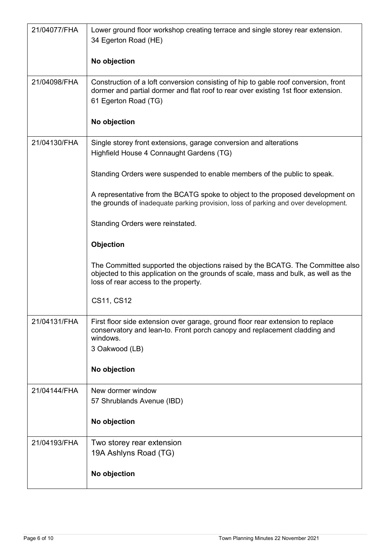| 21/04077/FHA | Lower ground floor workshop creating terrace and single storey rear extension.<br>34 Egerton Road (HE)                                                                                                        |
|--------------|---------------------------------------------------------------------------------------------------------------------------------------------------------------------------------------------------------------|
|              | No objection                                                                                                                                                                                                  |
| 21/04098/FHA | Construction of a loft conversion consisting of hip to gable roof conversion, front<br>dormer and partial dormer and flat roof to rear over existing 1st floor extension.<br>61 Egerton Road (TG)             |
|              | No objection                                                                                                                                                                                                  |
| 21/04130/FHA | Single storey front extensions, garage conversion and alterations<br>Highfield House 4 Connaught Gardens (TG)                                                                                                 |
|              | Standing Orders were suspended to enable members of the public to speak.                                                                                                                                      |
|              | A representative from the BCATG spoke to object to the proposed development on<br>the grounds of inadequate parking provision, loss of parking and over development.                                          |
|              | Standing Orders were reinstated.                                                                                                                                                                              |
|              | Objection                                                                                                                                                                                                     |
|              | The Committed supported the objections raised by the BCATG. The Committee also<br>objected to this application on the grounds of scale, mass and bulk, as well as the<br>loss of rear access to the property. |
|              | CS11, CS12                                                                                                                                                                                                    |
| 21/04131/FHA | First floor side extension over garage, ground floor rear extension to replace<br>conservatory and lean-to. Front porch canopy and replacement cladding and<br>windows.<br>3 Oakwood (LB)                     |
|              | No objection                                                                                                                                                                                                  |
| 21/04144/FHA | New dormer window<br>57 Shrublands Avenue (IBD)                                                                                                                                                               |
|              | No objection                                                                                                                                                                                                  |
| 21/04193/FHA | Two storey rear extension<br>19A Ashlyns Road (TG)                                                                                                                                                            |
|              | No objection                                                                                                                                                                                                  |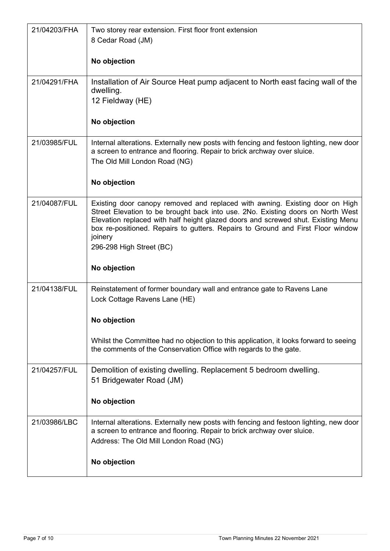| 21/04203/FHA | Two storey rear extension. First floor front extension<br>8 Cedar Road (JM)                                                                                                                                                                                                                                                                                                   |
|--------------|-------------------------------------------------------------------------------------------------------------------------------------------------------------------------------------------------------------------------------------------------------------------------------------------------------------------------------------------------------------------------------|
|              | No objection                                                                                                                                                                                                                                                                                                                                                                  |
| 21/04291/FHA | Installation of Air Source Heat pump adjacent to North east facing wall of the<br>dwelling.<br>12 Fieldway (HE)                                                                                                                                                                                                                                                               |
|              | No objection                                                                                                                                                                                                                                                                                                                                                                  |
| 21/03985/FUL | Internal alterations. Externally new posts with fencing and festoon lighting, new door<br>a screen to entrance and flooring. Repair to brick archway over sluice.<br>The Old Mill London Road (NG)<br>No objection                                                                                                                                                            |
|              |                                                                                                                                                                                                                                                                                                                                                                               |
| 21/04087/FUL | Existing door canopy removed and replaced with awning. Existing door on High<br>Street Elevation to be brought back into use. 2No. Existing doors on North West<br>Elevation replaced with half height glazed doors and screwed shut. Existing Menu<br>box re-positioned. Repairs to gutters. Repairs to Ground and First Floor window<br>joinery<br>296-298 High Street (BC) |
|              | No objection                                                                                                                                                                                                                                                                                                                                                                  |
| 21/04138/FUL | Reinstatement of former boundary wall and entrance gate to Ravens Lane<br>Lock Cottage Ravens Lane (HE)                                                                                                                                                                                                                                                                       |
|              | No objection                                                                                                                                                                                                                                                                                                                                                                  |
|              | Whilst the Committee had no objection to this application, it looks forward to seeing<br>the comments of the Conservation Office with regards to the gate.                                                                                                                                                                                                                    |
| 21/04257/FUL | Demolition of existing dwelling. Replacement 5 bedroom dwelling.<br>51 Bridgewater Road (JM)                                                                                                                                                                                                                                                                                  |
|              | No objection                                                                                                                                                                                                                                                                                                                                                                  |
| 21/03986/LBC | Internal alterations. Externally new posts with fencing and festoon lighting, new door<br>a screen to entrance and flooring. Repair to brick archway over sluice.<br>Address: The Old Mill London Road (NG)                                                                                                                                                                   |
|              | No objection                                                                                                                                                                                                                                                                                                                                                                  |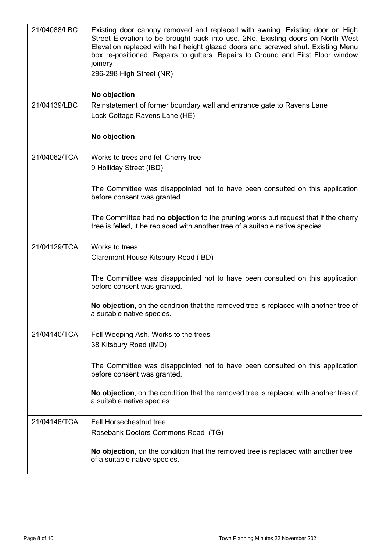| 21/04088/LBC | Existing door canopy removed and replaced with awning. Existing door on High<br>Street Elevation to be brought back into use. 2No. Existing doors on North West<br>Elevation replaced with half height glazed doors and screwed shut. Existing Menu<br>box re-positioned. Repairs to gutters. Repairs to Ground and First Floor window<br>joinery<br>296-298 High Street (NR)<br>No objection |
|--------------|-----------------------------------------------------------------------------------------------------------------------------------------------------------------------------------------------------------------------------------------------------------------------------------------------------------------------------------------------------------------------------------------------|
| 21/04139/LBC | Reinstatement of former boundary wall and entrance gate to Ravens Lane                                                                                                                                                                                                                                                                                                                        |
|              | Lock Cottage Ravens Lane (HE)                                                                                                                                                                                                                                                                                                                                                                 |
|              | No objection                                                                                                                                                                                                                                                                                                                                                                                  |
| 21/04062/TCA | Works to trees and fell Cherry tree                                                                                                                                                                                                                                                                                                                                                           |
|              | 9 Holliday Street (IBD)                                                                                                                                                                                                                                                                                                                                                                       |
|              | The Committee was disappointed not to have been consulted on this application<br>before consent was granted.                                                                                                                                                                                                                                                                                  |
|              | The Committee had no objection to the pruning works but request that if the cherry<br>tree is felled, it be replaced with another tree of a suitable native species.                                                                                                                                                                                                                          |
| 21/04129/TCA | Works to trees                                                                                                                                                                                                                                                                                                                                                                                |
|              | Claremont House Kitsbury Road (IBD)                                                                                                                                                                                                                                                                                                                                                           |
|              | The Committee was disappointed not to have been consulted on this application<br>before consent was granted.                                                                                                                                                                                                                                                                                  |
|              | No objection, on the condition that the removed tree is replaced with another tree of<br>a suitable native species.                                                                                                                                                                                                                                                                           |
| 21/04140/TCA | Fell Weeping Ash. Works to the trees                                                                                                                                                                                                                                                                                                                                                          |
|              | 38 Kitsbury Road (IMD)                                                                                                                                                                                                                                                                                                                                                                        |
|              | The Committee was disappointed not to have been consulted on this application<br>before consent was granted.                                                                                                                                                                                                                                                                                  |
|              | No objection, on the condition that the removed tree is replaced with another tree of<br>a suitable native species.                                                                                                                                                                                                                                                                           |
| 21/04146/TCA | <b>Fell Horsechestnut tree</b>                                                                                                                                                                                                                                                                                                                                                                |
|              | Rosebank Doctors Commons Road (TG)                                                                                                                                                                                                                                                                                                                                                            |
|              | No objection, on the condition that the removed tree is replaced with another tree<br>of a suitable native species.                                                                                                                                                                                                                                                                           |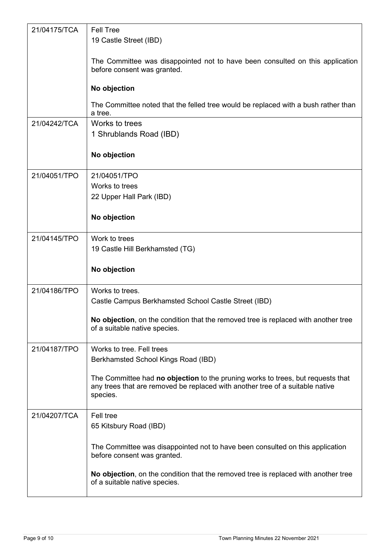| 21/04175/TCA | Fell Tree                                                                                                                                                                    |
|--------------|------------------------------------------------------------------------------------------------------------------------------------------------------------------------------|
|              | 19 Castle Street (IBD)                                                                                                                                                       |
|              | The Committee was disappointed not to have been consulted on this application<br>before consent was granted.                                                                 |
|              | No objection                                                                                                                                                                 |
|              | The Committee noted that the felled tree would be replaced with a bush rather than<br>a tree.                                                                                |
| 21/04242/TCA | Works to trees                                                                                                                                                               |
|              | 1 Shrublands Road (IBD)                                                                                                                                                      |
|              | No objection                                                                                                                                                                 |
| 21/04051/TPO | 21/04051/TPO                                                                                                                                                                 |
|              | Works to trees                                                                                                                                                               |
|              | 22 Upper Hall Park (IBD)                                                                                                                                                     |
|              | No objection                                                                                                                                                                 |
| 21/04145/TPO | Work to trees                                                                                                                                                                |
|              | 19 Castle Hill Berkhamsted (TG)                                                                                                                                              |
|              |                                                                                                                                                                              |
|              | No objection                                                                                                                                                                 |
| 21/04186/TPO | Works to trees.                                                                                                                                                              |
|              | Castle Campus Berkhamsted School Castle Street (IBD)                                                                                                                         |
|              | No objection, on the condition that the removed tree is replaced with another tree<br>of a suitable native species.                                                          |
| 21/04187/TPO | Works to tree. Fell trees                                                                                                                                                    |
|              | Berkhamsted School Kings Road (IBD)                                                                                                                                          |
|              | The Committee had no objection to the pruning works to trees, but requests that<br>any trees that are removed be replaced with another tree of a suitable native<br>species. |
| 21/04207/TCA | Fell tree                                                                                                                                                                    |
|              | 65 Kitsbury Road (IBD)                                                                                                                                                       |
|              | The Committee was disappointed not to have been consulted on this application<br>before consent was granted.                                                                 |